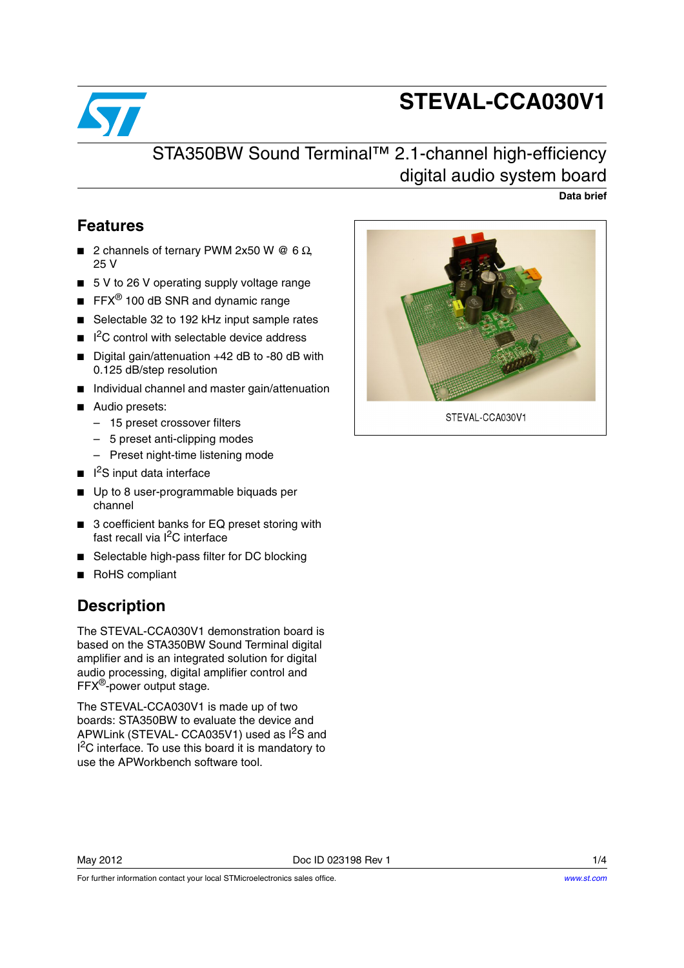

# **STEVAL-CCA030V1**

## STA350BW Sound Terminal™ 2.1-channel high-efficiency digital audio system board

**Data brief**

#### **Features**

- 2 channels of ternary PWM 2x50 W @ 6  $\Omega$ 25 V
- 5 V to 26 V operating supply voltage range
- $\blacksquare$  FFX<sup>®</sup> 100 dB SNR and dynamic range
- Selectable 32 to 192 kHz input sample rates
- $\blacksquare$   $\vert$ <sup>2</sup>C control with selectable device address
- Digital gain/attenuation +42 dB to -80 dB with 0.125 dB/step resolution
- Individual channel and master gain/attenuation
- Audio presets:
	- 15 preset crossover filters
	- 5 preset anti-clipping modes
	- Preset night-time listening mode
- I<sup>2</sup>S input data interface
- Up to 8 user-programmable biquads per channel
- 3 coefficient banks for EQ preset storing with fast recall via I<sup>2</sup>C interface
- Selectable high-pass filter for DC blocking
- RoHS compliant

### **Description**

The STEVAL-CCA030V1 demonstration board is based on the STA350BW Sound Terminal digital amplifier and is an integrated solution for digital audio processing, digital amplifier control and FFX®-power output stage.

The STEVAL-CCA030V1 is made up of two boards: STA350BW to evaluate the device and APWLink (STEVAL- CCA035V1) used as I<sup>2</sup>S and <sup>2</sup>C interface. To use this board it is mandatory to use the APWorkbench software tool.



STEVAL-CCA030V1

For further information contact your local STMicroelectronics sales office.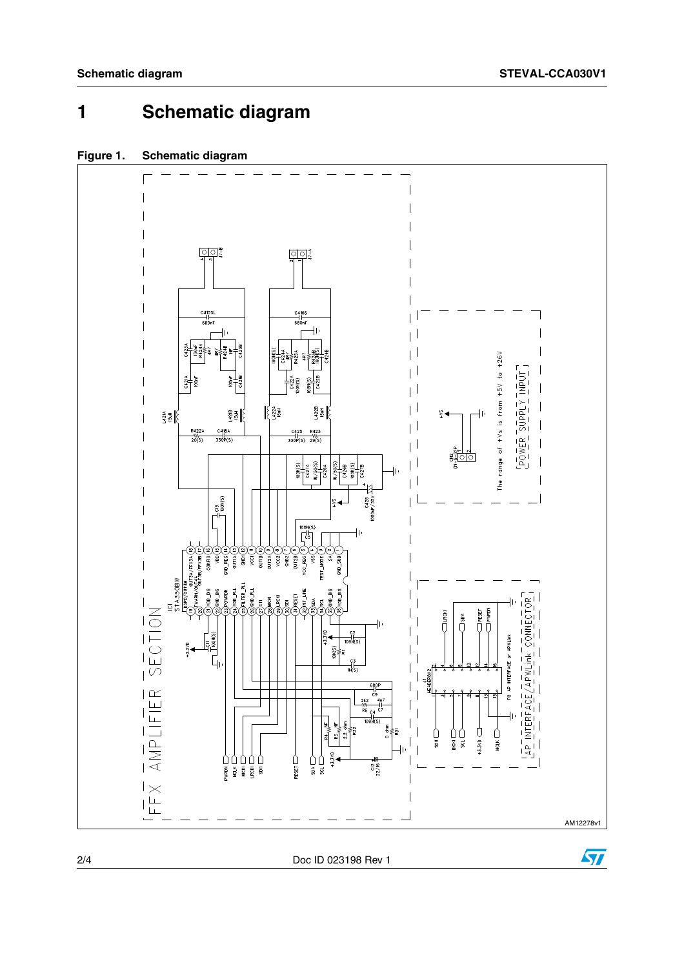## **1 Schematic diagram**

#### **Figure 1. Schematic diagram**



2/4 Doc ID 023198 Rev 1

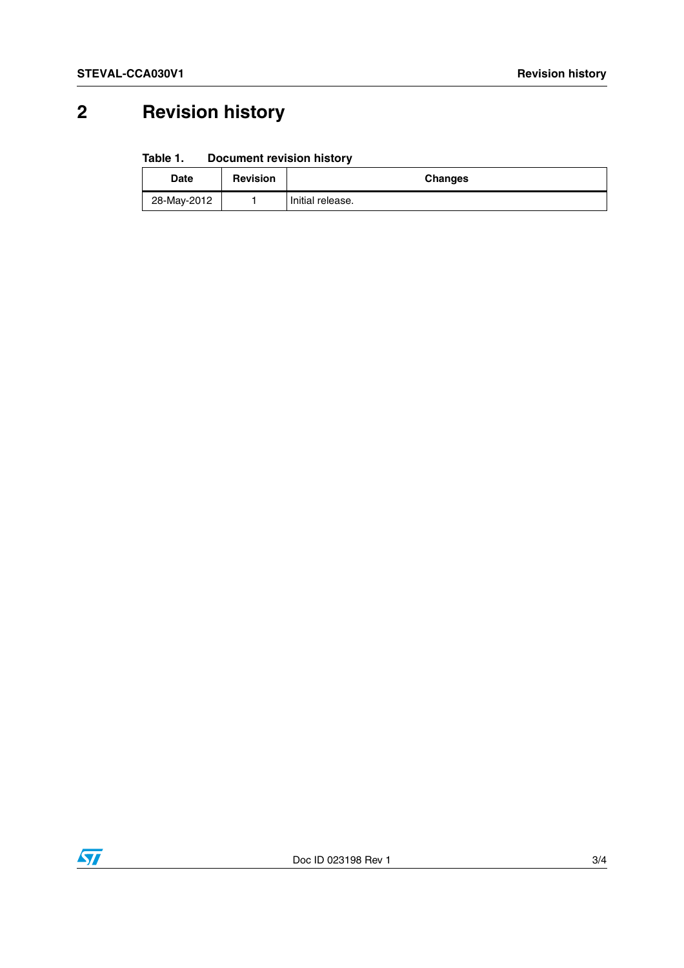# **2 Revision history**

#### Table 1. **Document revision history**

| Date        | <b>Revision</b> | <b>Changes</b>   |
|-------------|-----------------|------------------|
| 28-May-2012 |                 | Initial release. |